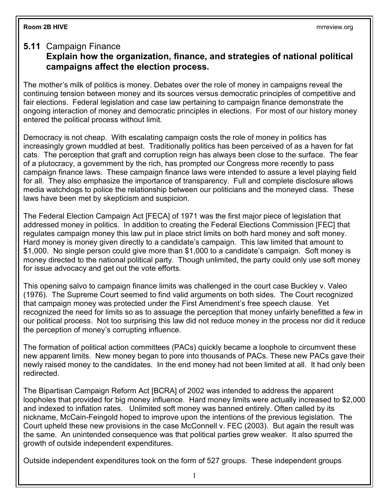## **5.11** Campaign Finance

## **Explain how the organization, finance, and strategies of national political campaigns affect the election process.**

The mother's milk of politics is money. Debates over the role of money in campaigns reveal the continuing tension between money and its sources versus democratic principles of competitive and fair elections. Federal legislation and case law pertaining to campaign finance demonstrate the ongoing interaction of money and democratic principles in elections. For most of our history money entered the political process without limit.

Democracy is not cheap. With escalating campaign costs the role of money in politics has increasingly grown muddled at best. Traditionally politics has been perceived of as a haven for fat cats. The perception that graft and corruption reign has always been close to the surface. The fear of a plutocracy, a government by the rich, has prompted our Congress more recently to pass campaign finance laws. These campaign finance laws were intended to assure a level playing field for all. They also emphasize the importance of transparency. Full and complete disclosure allows media watchdogs to police the relationship between our politicians and the moneyed class. These laws have been met by skepticism and suspicion.

The Federal Election Campaign Act [FECA] of 1971 was the first major piece of legislation that addressed money in politics. In addition to creating the Federal Elections Commission [FEC] that regulates campaign money this law put in place strict limits on both hard money and soft money. Hard money is money given directly to a candidate's campaign. This law limited that amount to \$1,000. No single person could give more than \$1,000 to a candidate's campaign. Soft money is money directed to the national political party. Though unlimited, the party could only use soft money for issue advocacy and get out the vote efforts.

This opening salvo to campaign finance limits was challenged in the court case Buckley v. Valeo (1976). The Supreme Court seemed to find valid arguments on both sides. The Court recognized that campaign money was protected under the First Amendment's free speech clause. Yet recognized the need for limits so as to assuage the perception that money unfairly benefitted a few in our political process. Not too surprising this law did not reduce money in the process nor did it reduce the perception of money's corrupting influence.

The formation of political action committees (PACs) quickly became a loophole to circumvent these new apparent limits. New money began to pore into thousands of PACs. These new PACs gave their newly raised money to the candidates. In the end money had not been limited at all. It had only been redirected.

The Bipartisan Campaign Reform Act [BCRA] of 2002 was intended to address the apparent loopholes that provided for big money influence. Hard money limits were actually increased to \$2,000 and indexed to inflation rates. Unlimited soft money was banned entirely. Often called by its nickname, McCain-Feingold hoped to improve upon the intentions of the previous legislation. The Court upheld these new provisions in the case McConnell v. FEC (2003). But again the result was the same. An unintended consequence was that political parties grew weaker. It also spurred the growth of outside independent expenditures.

Outside independent expenditures took on the form of 527 groups. These independent groups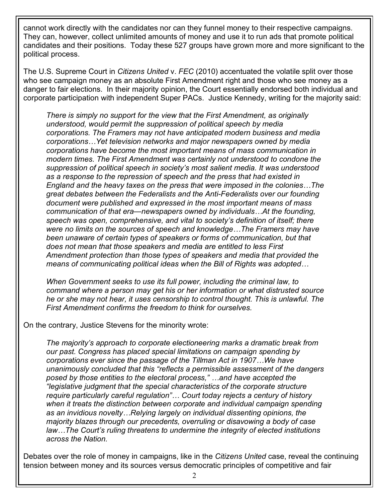cannot work directly with the candidates nor can they funnel money to their respective campaigns. They can, however, collect unlimited amounts of money and use it to run ads that promote political candidates and their positions. Today these 527 groups have grown more and more significant to the political process.

The U.S. Supreme Court in *Citizens United* v. *FEC* (2010) accentuated the volatile split over those who see campaign money as an absolute First Amendment right and those who see money as a danger to fair elections. In their majority opinion, the Court essentially endorsed both individual and corporate participation with independent Super PACs. Justice Kennedy, writing for the majority said:

*There is simply no support for the view that the First Amendment, as originally understood, would permit the suppression of political speech by media corporations. The Framers may not have anticipated modern business and media corporations…Yet television networks and major newspapers owned by media corporations have become the most important means of mass communication in modern times. The First Amendment was certainly not understood to condone the suppression of political speech in society's most salient media. It was understood as a response to the repression of speech and the press that had existed in England and the heavy taxes on the press that were imposed in the colonies…The great debates between the Federalists and the Anti-Federalists over our founding document were published and expressed in the most important means of mass communication of that era—newspapers owned by individuals…At the founding, speech was open, comprehensive, and vital to society's definition of itself; there were no limits on the sources of speech and knowledge…The Framers may have been unaware of certain types of speakers or forms of communication, but that does not mean that those speakers and media are entitled to less First Amendment protection than those types of speakers and media that provided the means of communicating political ideas when the Bill of Rights was adopted…*

*When Government seeks to use its full power, including the criminal law, to command where a person may get his or her information or what distrusted source he or she may not hear, it uses censorship to control thought. This is unlawful. The First Amendment confirms the freedom to think for ourselves.*

On the contrary, Justice Stevens for the minority wrote:

*The majority's approach to corporate electioneering marks a dramatic break from our past. Congress has placed special limitations on campaign spending by corporations ever since the passage of the Tillman Act in 1907…We have unanimously concluded that this "reflects a permissible assessment of the dangers posed by those entities to the electoral process," …and have accepted the "legislative judgment that the special characteristics of the corporate structure require particularly careful regulation"… Court today rejects a century of history when it treats the distinction between corporate and individual campaign spending as an invidious novelty…Relying largely on individual dissenting opinions, the majority blazes through our precedents, overruling or disavowing a body of case law…The Court's ruling threatens to undermine the integrity of elected institutions across the Nation.*

Debates over the role of money in campaigns, like in the *Citizens United* case, reveal the continuing tension between money and its sources versus democratic principles of competitive and fair